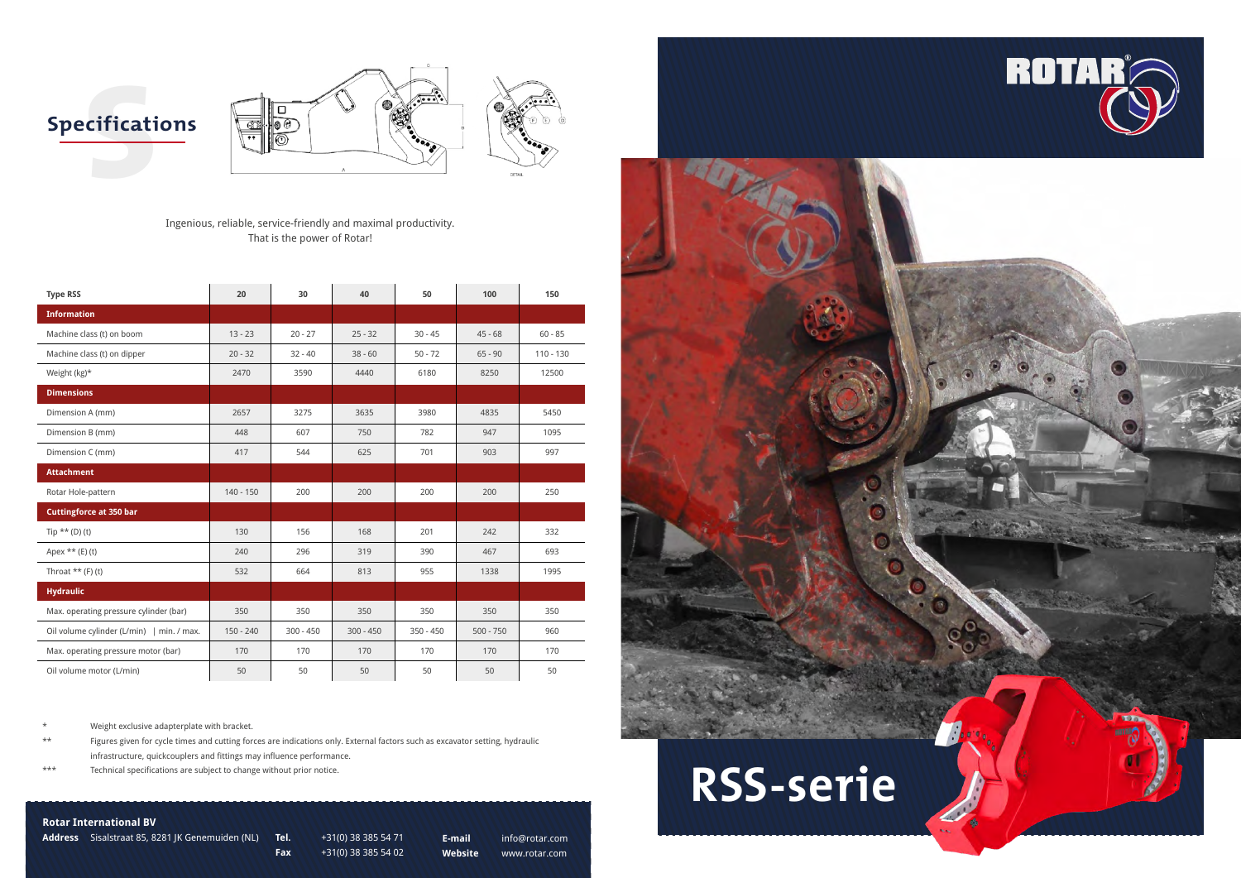



### **Rotar International BV**

**Address** Sisalstraat 85, 8281 JK Genemuiden (NL) **Tel.** +31(0) 38 385 54 71

**Fax** +31(0) 38 385 54 02

**E-mail** info@rotar.com **Website** www.rotar.com

Ingenious, reliable, service-friendly and maximal productivity. That is the power of Rotar!

\* Weight exclusive adapterplate with bracket.

\*\* Figures given for cycle times and cutting forces are indications only. External factors such as excavator setting, hydraulic infrastructure, quickcouplers and fittings may influence performance.

\*\*\* Technical specifications are subject to change without prior notice.

| <b>Type RSS</b>                           | 20          | 30          | 40          | 50          | 100         | 150         |
|-------------------------------------------|-------------|-------------|-------------|-------------|-------------|-------------|
| <b>Information</b>                        |             |             |             |             |             |             |
| Machine class (t) on boom                 | $13 - 23$   | $20 - 27$   | $25 - 32$   | $30 - 45$   | $45 - 68$   | $60 - 85$   |
| Machine class (t) on dipper               | $20 - 32$   | $32 - 40$   | $38 - 60$   | $50 - 72$   | $65 - 90$   | $110 - 130$ |
| Weight (kg)*                              | 2470        | 3590        | 4440        | 6180        | 8250        | 12500       |
| <b>Dimensions</b>                         |             |             |             |             |             |             |
| Dimension A (mm)                          | 2657        | 3275        | 3635        | 3980        | 4835        | 5450        |
| Dimension B (mm)                          | 448         | 607         | 750         | 782         | 947         | 1095        |
| Dimension C (mm)                          | 417         | 544         | 625         | 701         | 903         | 997         |
| <b>Attachment</b>                         |             |             |             |             |             |             |
| Rotar Hole-pattern                        | $140 - 150$ | 200         | 200         | 200         | 200         | 250         |
| <b>Cuttingforce at 350 bar</b>            |             |             |             |             |             |             |
| Tip $**$ (D) (t)                          | 130         | 156         | 168         | 201         | 242         | 332         |
| Apex $**$ (E) (t)                         | 240         | 296         | 319         | 390         | 467         | 693         |
| Throat $**$ (F) (t)                       | 532         | 664         | 813         | 955         | 1338        | 1995        |
| <b>Hydraulic</b>                          |             |             |             |             |             |             |
| Max. operating pressure cylinder (bar)    | 350         | 350         | 350         | 350         | 350         | 350         |
| Oil volume cylinder (L/min)   min. / max. | $150 - 240$ | $300 - 450$ | $300 - 450$ | $350 - 450$ | $500 - 750$ | 960         |
| Max. operating pressure motor (bar)       | 170         | 170         | 170         | 170         | 170         | 170         |
| Oil volume motor (L/min)                  | 50          | 50          | 50          | 50          | 50          | 50          |